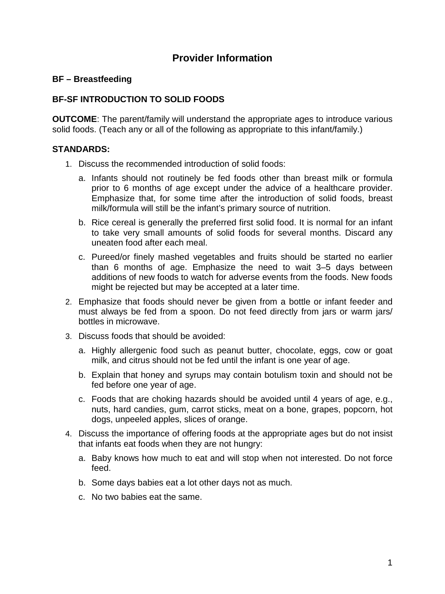# **Provider Information**

### **BF – Breastfeeding**

# **BF-SF INTRODUCTION TO SOLID FOODS**

**OUTCOME:** The parent/family will understand the appropriate ages to introduce various solid foods. (Teach any or all of the following as appropriate to this infant/family.)

### **STANDARDS:**

- 1. Discuss the recommended introduction of solid foods:
	- a. Infants should not routinely be fed foods other than breast milk or formula prior to 6 months of age except under the advice of a healthcare provider. Emphasize that, for some time after the introduction of solid foods, breast milk/formula will still be the infant's primary source of nutrition.
	- b. Rice cereal is generally the preferred first solid food. It is normal for an infant to take very small amounts of solid foods for several months. Discard any uneaten food after each meal.
	- c. Pureed/or finely mashed vegetables and fruits should be started no earlier than 6 months of age. Emphasize the need to wait 3–5 days between additions of new foods to watch for adverse events from the foods. New foods might be rejected but may be accepted at a later time.
- 2. Emphasize that foods should never be given from a bottle or infant feeder and must always be fed from a spoon. Do not feed directly from jars or warm jars/ bottles in microwave.
- 3. Discuss foods that should be avoided:
	- a. Highly allergenic food such as peanut butter, chocolate, eggs, cow or goat milk, and citrus should not be fed until the infant is one year of age.
	- b. Explain that honey and syrups may contain botulism toxin and should not be fed before one year of age.
	- c. Foods that are choking hazards should be avoided until 4 years of age, e.g., nuts, hard candies, gum, carrot sticks, meat on a bone, grapes, popcorn, hot dogs, unpeeled apples, slices of orange.
- 4. Discuss the importance of offering foods at the appropriate ages but do not insist that infants eat foods when they are not hungry:
	- a. Baby knows how much to eat and will stop when not interested. Do not force feed.
	- b. Some days babies eat a lot other days not as much.
	- c. No two babies eat the same.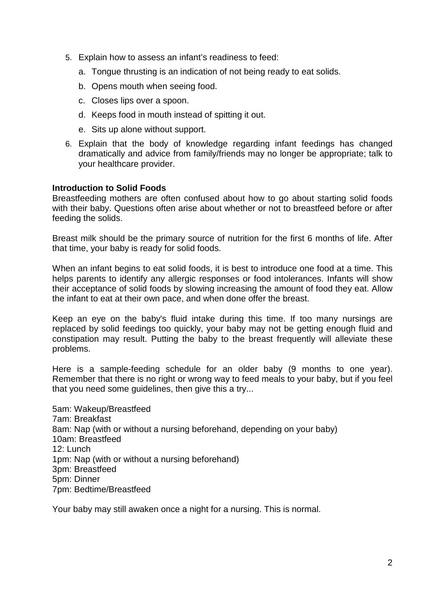- 5. Explain how to assess an infant's readiness to feed:
	- a. Tongue thrusting is an indication of not being ready to eat solids.
	- b. Opens mouth when seeing food.
	- c. Closes lips over a spoon.
	- d. Keeps food in mouth instead of spitting it out.
	- e. Sits up alone without support.
- 6. Explain that the body of knowledge regarding infant feedings has changed dramatically and advice from family/friends may no longer be appropriate; talk to your healthcare provider.

#### **Introduction to Solid Foods**

Breastfeeding mothers are often confused about how to go about starting solid foods with their baby. Questions often arise about whether or not to breastfeed before or after feeding the solids.

Breast milk should be the primary source of nutrition for the first 6 months of life. After that time, your baby is ready for solid foods.

When an infant begins to eat solid foods, it is best to introduce one food at a time. This helps parents to identify any allergic responses or food intolerances. Infants will show their acceptance of solid foods by slowing increasing the amount of food they eat. Allow the infant to eat at their own pace, and when done offer the breast.

Keep an eye on the baby's fluid intake during this time. If too many nursings are replaced by solid feedings too quickly, your baby may not be getting enough fluid and constipation may result. Putting the baby to the breast frequently will alleviate these problems.

Here is a sample-feeding schedule for an older baby (9 months to one year). Remember that there is no right or wrong way to feed meals to your baby, but if you feel that you need some guidelines, then give this a try...

5am: Wakeup/Breastfeed 7am: Breakfast 8am: Nap (with or without a nursing beforehand, depending on your baby) 10am: Breastfeed 12: Lunch 1pm: Nap (with or without a nursing beforehand) 3pm: Breastfeed 5pm: Dinner 7pm: Bedtime/Breastfeed

Your baby may still awaken once a night for a nursing. This is normal.